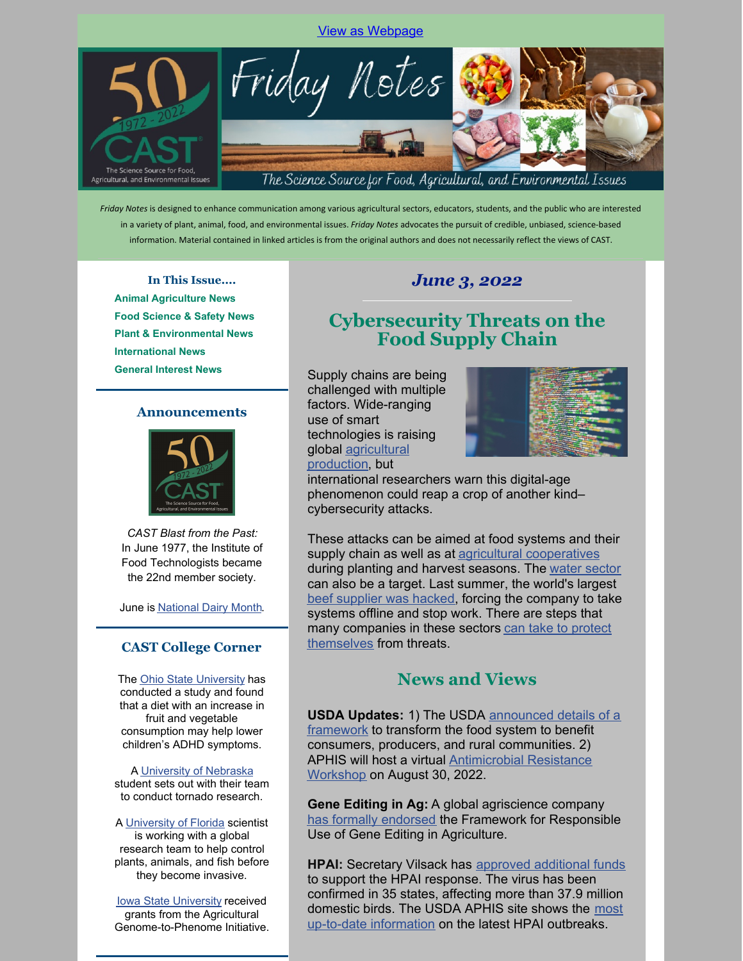#### View as [Webpage](https://campaignlp.constantcontact.com/em/1102365224729/a61aff4b-7d3d-4318-9953-ead92ec49012)



*Friday Notes* is designed to enhance communication among various agricultural sectors, educators, students, and the public who are interested in a variety of plant, animal, food, and environmental issues. *Friday Notes* advocates the pursuit of credible, unbiased, science-based information. Material contained in linked articles is from the original authors and does not necessarily reflect the views of CAST.

**In This Issue.... Animal Agriculture News Food Science & Safety News Plant & Environmental News International News General Interest News**

#### **Announcements**



*CAST Blast from the Past:* In June 1977, the Institute of Food Technologists became the 22nd member society.

June is [National](https://www.idfa.org/june-is-national-dairy-month) Dairy Month.

#### **CAST College Corner**

The Ohio State [University](https://cfaes.osu.edu/stories/diet-plays-key-role-in-adhd-symptoms-in-children) has conducted a study and found that a diet with an increase in fruit and vegetable consumption may help lower children's ADHD symptoms.

#### A [University](https://ianrnews.unl.edu/mayfield-tornadoes-inspire-torus-researcher) of Nebraska student sets out with their team to conduct tornado research.

A [University](https://www.morningagclips.com/uf-scientist-helps-perfect-tool-to-reduce-invasive-species-worldwide/) of Florida scientist is working with a global research team to help control plants, animals, and fish before they become invasive.

**Iowa State [University](https://www.cals.iastate.edu/news/releases/new-grants-awarded-agricultural-genome-phenome-research) received** grants from the Agricultural Genome-to-Phenome Initiative.

#### *June 3, 2022*

#### **Cybersecurity Threats on the Food Supply Chain**

Supply chains are being challenged with multiple factors. Wide-ranging use of smart technologies is raising global [agricultural](https://www.morningagclips.com/forecast-of-food-cyber-attacks/) production, but



international researchers warn this digital-age phenomenon could reap a crop of another kind– cybersecurity attacks.

These attacks can be aimed at food systems and their supply chain as well as at **agricultural [cooperatives](https://industrialcyber.co/analysis/growing-need-to-shield-food-and-agriculture-sector-from-rising-cybersecurity-threats-amidst-supply-chain-risks/#:~:text=The food and agriculture sector,operational disruptions and financial losses.)** during planting and harvest seasons. The water [sector](https://fooddigital.com/food/food-supply-chains-face-cybersecurity-threats) can also be a target. Last summer, the world's largest beef [supplier](https://www.nbcnews.com/tech/security/cyberattack-hits-world-s-largest-meat-supplier-n1269191) was hacked, forcing the company to take systems offline and stop work. There are steps that many [companies](https://cybersecurityguide.org/industries/food-and-agriculture/) in these sectors can take to protect themselves from threats.

#### **News and Views**

**USDA Updates:** 1) The USDA [announced](https://www.usda.gov/media/press-releases/2022/06/01/usda-announces-framework-shoring-food-supply-chain-and-transforming) details of a framework to transform the food system to benefit consumers, producers, and rural communities. 2) APHIS will host a virtual [Antimicrobial](https://www.beefmagazine.com/news/usda-host-antimicrobial-resistance-workshop) Resistance Workshop on August 30, 2022.

**Gene Editing in Ag:** A global agriscience company has formally [endorsed](https://www.agrimarketing.com/ss.php?id=141076) the Framework for Responsible Use of Gene Editing in Agriculture.

**HPAI:** Secretary Vilsack has approved [additional](https://www.aphis.usda.gov/aphis/newsroom/news/sa_by_date/sa-2022/hpai-response-additional-funding) funds to support the HPAI response. The virus has been confirmed in 35 states, affecting more than 37.9 million domestic birds. The USDA APHIS site shows the most up-to-date [information](https://www.aphis.usda.gov/aphis/ourfocus/animalhealth/animal-disease-information/avian/avian-influenza/2022-hpai) on the latest HPAI outbreaks.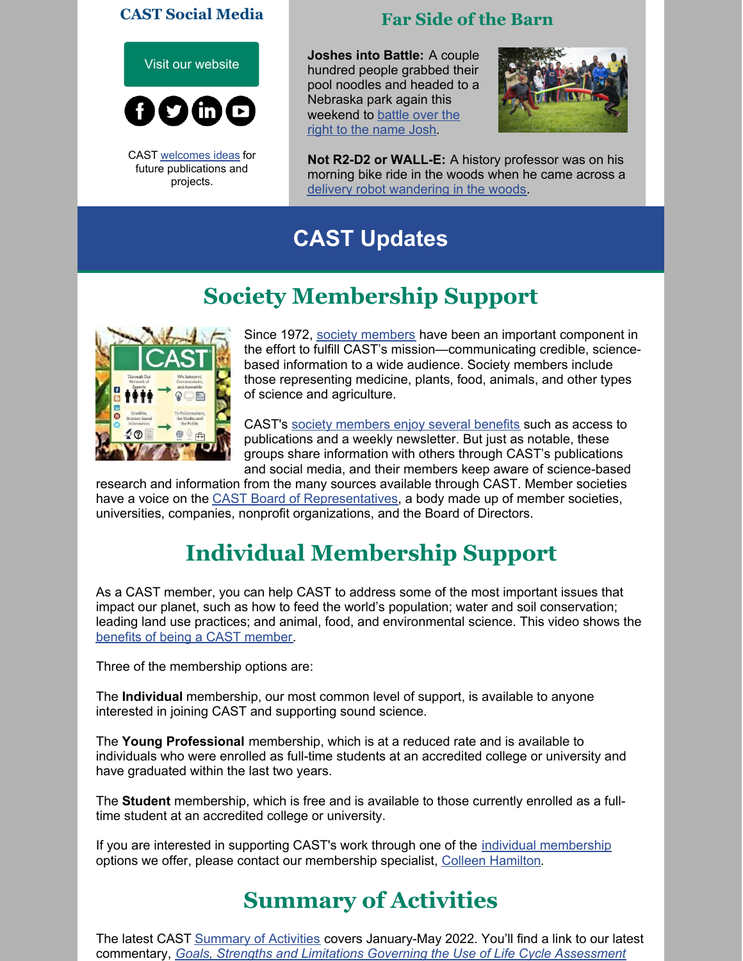#### **CAST Social Media**



CAST [welcomes](https://www.cast-science.org/submit-an-idea-for-a-cast-publication/) ideas for future publications and projects.

### **Far Side of the Barn**

**Joshes into Battle:** A couple hundred people grabbed their pool noodles and headed to a Nebraska park again this [weekend](https://apnews.com/article/josh-pool-noodle-fight-nebraska-e23282f8cd82d17926999c17b4c27d65) to battle over the right to the name Josh.



**Not R2-D2 or WALL-E:** A history professor was on his morning bike ride in the woods when he came across a delivery robot [wandering](https://www.npr.org/2022/05/20/1100290734/delivery-robot-woods-northampton-england-united-kingdom) in the woods.

# **CAST Updates**

# **Society Membership Support**



Since 1972, society [members](https://r20.rs6.net/tn.jsp?f=001RjIYrY-E1q5jy6OI0ZnVj59ZWeP1YT_Rmo6AkO3L2Fpt-_eFmJk7OJElXVIFa2F2VsY4Vf3SpDgPBrO04zNzxfhNLKou8PFsvmuf3zan0exIsWgaiFuyA50JvH_2TByxVEMWP-H0q19TWIr9S5uLqS3wdHqEZb7zz_ha9nO0VEZlzlvCoH3xURUbvsykJU8RApY4MVOEYD4=&c=FMGh3A2dLpBu35_k8sQl2lQpG1ygyi8MDwrW5jiI_Qlk1oJpsvlUVw==&ch=iRneLpxY7A3H6Sl-AAh755IVJLuMHZ6lyNjXChOTsBFouoa91XQiRw==) have been an important component in the effort to fulfill CAST's mission—communicating credible, sciencebased information to a wide audience. Society members include those representing medicine, plants, food, animals, and other types of science and agriculture.

CAST's society [members](https://r20.rs6.net/tn.jsp?f=001RjIYrY-E1q5jy6OI0ZnVj59ZWeP1YT_Rmo6AkO3L2Fpt-_eFmJk7OD76qY2fl_jA0mWjTx7RQz_XhIrShug0ZyKq5oZJdhNSTAWmsUwSXMKigWQMglFD24IZSk1ZcRm8SUhe9Fb8AzRP6Ein1UCnK1FJ7Ehe9jY-s133bGps9yIHCYA-h3K0xorScUId3cPsji1WNO-_RAFf6SdLkoBPCw==&c=FMGh3A2dLpBu35_k8sQl2lQpG1ygyi8MDwrW5jiI_Qlk1oJpsvlUVw==&ch=iRneLpxY7A3H6Sl-AAh755IVJLuMHZ6lyNjXChOTsBFouoa91XQiRw==) enjoy several benefits such as access to publications and a weekly newsletter. But just as notable, these groups share information with others through CAST's publications and social media, and their members keep aware of science-based

research and information from the many sources available through CAST. Member societies have a voice on the CAST Board of [Representatives](https://r20.rs6.net/tn.jsp?f=001RjIYrY-E1q5jy6OI0ZnVj59ZWeP1YT_Rmo6AkO3L2Fpt-_eFmJk7OHOcXIUNz27SJZO64CGqDFA_SYQo1yaGSjYab0-kEPPfgRyD5ovMg5apnjRiqPqI8q_yShmDHu9JIfyuNI9Yhly-9HW5mgFOhDJpHZIEc8izUTotbsSZawrUOU5qFdTUaO6oEXyI-Rqwc_Ot8FmqOH8=&c=FMGh3A2dLpBu35_k8sQl2lQpG1ygyi8MDwrW5jiI_Qlk1oJpsvlUVw==&ch=iRneLpxY7A3H6Sl-AAh755IVJLuMHZ6lyNjXChOTsBFouoa91XQiRw==), a body made up of member societies, universities, companies, nonprofit organizations, and the Board of Directors.

# **Individual Membership Support**

As a CAST member, you can help CAST to address some of the most important issues that impact our planet, such as how to feed the world's population; water and soil conservation; leading land use practices; and animal, food, and environmental science. This video shows the benefits of being a CAST [member](https://www.youtube.com/watch?v=7HVBSQNcH5g).

Three of the membership options are:

The **Individual** membership, our most common level of support, is available to anyone interested in joining CAST and supporting sound science.

The **Young Professional** membership, which is at a reduced rate and is available to individuals who were enrolled as full-time students at an accredited college or university and have graduated within the last two years.

The **Student** membership, which is free and is available to those currently enrolled as a fulltime student at an accredited college or university.

If you are interested in supporting CAST's work through one of the *individual [membership](https://www.cast-science.org/membership/individual-members/)* options we offer, please contact our membership specialist, Colleen [Hamilton](https://www.cast-science.org/contact-us/).

# **Summary of Activities**

The latest CAST **[Summary](https://www.cast-science.org/wp-content/uploads/2022/05/Q1_2022_Summary-of-Activities-00000002.pdf) of Activities covers January-May 2022**. You'll find a link to our latest commentary, *Goals, Strengths and Limitations Governing the Use of Life Cycle Assessment*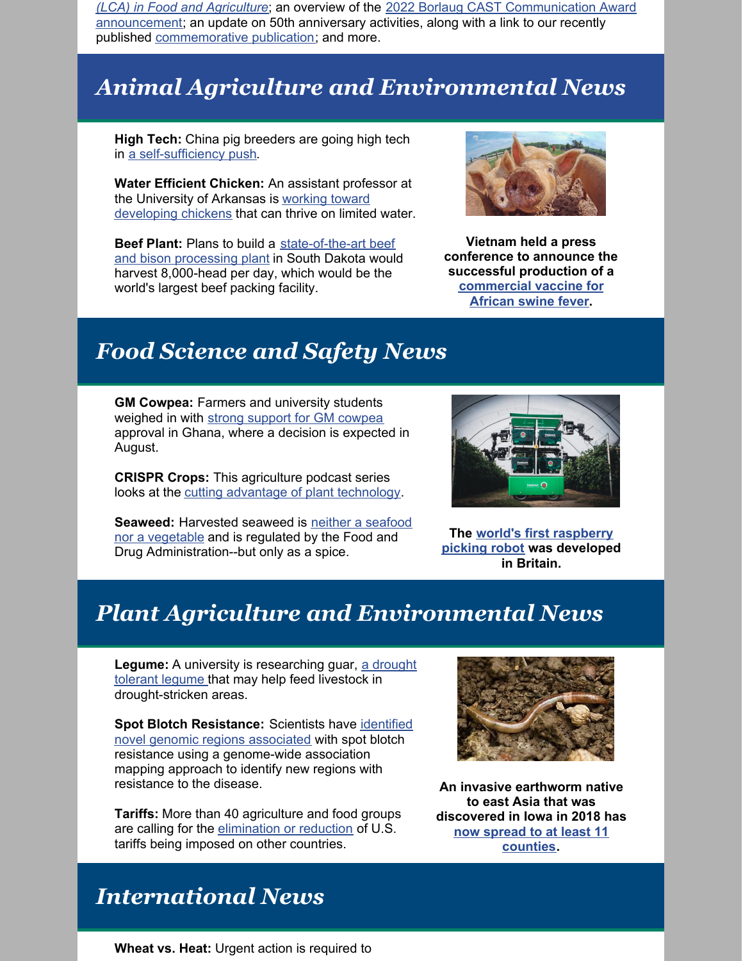*(LCA) in Food and Agriculture*; an overview of the 2022 Borlaug CAST [Communication](https://www.cast-science.org/martin-wiedmann-announced-as-the-2022-borlaug-cast-communication-award-recipient/) Award announcement; an update on 50th anniversary activities, along with a link to our recently published [commemorative](https://www.cast-science.org/publication/celebrating-50-years-as-the-trusted-source-for-agricultural-science-and-technology/) publication; and more.

### *Animal Agriculture and Environmental News*

**High Tech:** China pig breeders are going high tech in a [self-sufficiency](https://www.reuters.com/world/china/china-pig-breeders-go-high-tech-self-sufficiency-push-2022-05-27/) push.

**Water Efficient Chicken:** An assistant professor at the University of Arkansas is working toward [developing](https://aaes.uada.edu/news/water-efficient-chickens/) chickens that can thrive on limited water.

**Beef Plant:** Plans to build a [state-of-the-art](https://www.drovers.com/news/beef-production/11-billion-next-generation-beef-plant-proposed-rapid-city-sd) beef and bison processing plant in South Dakota would harvest 8,000-head per day, which would be the world's largest beef packing facility.



**Vietnam held a press conference to announce the successful production of a [commercial](https://www.nationalhogfarmer.com/news/vietnam-first-commercially-produce-african-swine-fever-vaccine) vaccine for African swine fever.**

### *Food Science and Safety News*

**GM Cowpea:** Farmers and university students weighed in with strong support for GM [cowpea](https://allianceforscience.cornell.edu/blog/2022/06/public-comments-reveal-overwhelming-support-for-gm-cowpea-in-ghana/) approval in Ghana, where a decision is expected in August.

**CRISPR Crops:** This agriculture podcast series looks at the cutting advantage of plant [technology](https://the1a.org/segments/deeply-rooted-crispr-crops-and-the-future-of-food/).

**[Seaweed:](https://www.foodsafetynews.com/2022/06/more-food-uses-for-seaweed-sparks-food-safety-research/)** Harvested seaweed is neither a seafood nor a vegetable and is regulated by the Food and Drug Administration--but only as a spice.



**The world's first [raspberry](https://www.theguardian.com/business/2022/jun/01/uk-raspberry-picking-robot-soft-fruit) picking robot was developed in Britain.**

### *Plant Agriculture and Environmental News*

**Legume:** A university is [researching](https://www.farmprogress.com/crops/nmsu-researcher-examines-drought-tolerant-guar) guar, a drought tolerant legume that may help feed livestock in drought-stricken areas.

**Spot Blotch [Resistance:](https://www.cimmyt.org/news/cimmyt-scientists-identify-novel-genomic-regions-associated-with-spot-blotch-resistance/)** Scientists have identified novel genomic regions associated with spot blotch resistance using a genome-wide association mapping approach to identify new regions with resistance to the disease.

**Tariffs:** More than 40 agriculture and food groups are calling for the [elimination](https://www.thepacker.com/news/industry/usapple-calls-end-tariffs-it-says-harm-us-agriculture?mkt_tok=ODQzLVlHQi03OTMAAAGEpNo_fk6lsJru9r3OFnffv_PyqD2XZPzA0SRTwjhAg3ssWJRwjkFNgmMe5e5rwZcQQaZZ82__80GW32McLbFAAxAE0QuwSzSWqVsL0hoGB7AQWIzLzA) or reduction of U.S. tariffs being imposed on other countries.



**An invasive earthworm native to east Asia that was discovered in Iowa in 2018 has now spread to at least 11 [counties.](https://www.desmoinesregister.com/story/news/2022/05/27/jumping-worms-iowa-infestation-iowa-state-extension-dnr-polk-story-county/9887019002/)**

### *International News*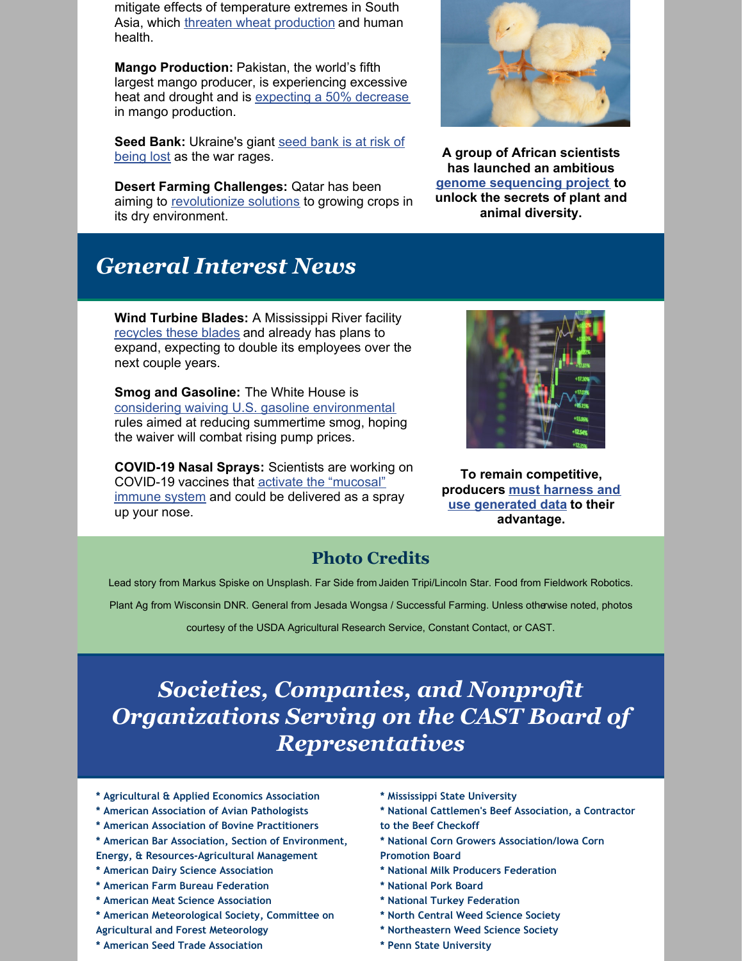mitigate effects of temperature extremes in South Asia, which threaten wheat [production](https://www.cimmyt.org/blogs/wheat-versus-heat/) and human health.

**Mango Production:** Pakistan, the world's fifth largest mango producer, is experiencing excessive heat and drought and is [expecting](https://www.reuters.com/world/asia-pacific/pakistans-mango-production-fall-by-50-due-heatwave-water-shortage-2022-05-26/) a 50% decrease in mango production.

**Seed Bank: [Ukraine's](https://www.reuters.com/world/europe/ukraines-giant-seed-bank-risk-being-lost-war-rages-2022-05-31/) giant seed bank is at risk of** being lost as the war rages.

**Desert Farming Challenges:** Qatar has been aiming to [revolutionize](https://www.euronews.com/2022/06/01/qatar-s-farming-innovations-from-vertical-solutions-to-honey-production) solutions to growing crops in its dry environment.

**A group of African scientists has launched an ambitious genome [sequencing](https://allianceforscience.cornell.edu/blog/2022/05/african-scientists-launch-biodiversity-genomics-revolution/) project to unlock the secrets of plant and animal diversity.**

## *General Interest News*

**Wind Turbine Blades:** A Mississippi River facility [recycles](https://www.stltoday.com/business/local/what-to-do-with-old-wind-turbine-blades-mississippi-river-facility-recycles-them/article_e0342ece-185e-5de9-a405-a6b34c0c2aca.html) these blades and already has plans to expand, expecting to double its employees over the next couple years.

**Smog and Gasoline:** The White House is considering waiving U.S. gasoline [environmental](https://www.reuters.com/world/us/white-house-weighing-waiving-smog-rules-gasoline-lower-pump-price-sources-2022-05-23/) rules aimed at reducing summertime smog, hoping the waiver will combat rising pump prices.

**COVID-19 Nasal Sprays:** Scientists are working on [COVID-19](https://allianceforscience.cornell.edu/blog/2022/05/covid-nasal-sprays-could-offer-advantages-over-traditional-vaccines-a-virologist-explains-how-they-work/) vaccines that activate the "mucosal" immune system and could be delivered as a spray up your nose.



**To remain competitive, [producers](https://www.agriculture.com/technology/data/croptrak-adds-financial-framework-to-its-digital-supply-chain-management-tool) must harness and use generated data to their advantage.**

#### **Photo Credits**

Lead story from Markus Spiske on Unsplash. Far Side from Jaiden Tripi/Lincoln Star. Food from Fieldwork Robotics.

Plant Ag from Wisconsin DNR. General from Jesada Wongsa / Successful Farming. Unless otherwise noted, photos

courtesy of the USDA Agricultural Research Service, Constant Contact, or CAST.

### *Societies, Companies, and Nonprofit Organizations Serving on the CAST Board of Representatives*

- **\* Agricultural & Applied Economics Association**
- **\* American Association of Avian Pathologists**
- **\* American Association of Bovine Practitioners**
- **\* American Bar Association, Section of Environment, Energy, & Resources-Agricultural Management**
- **\* American Dairy Science Association**
- **\* American Farm Bureau Federation**
- **\* American Meat Science Association**
- **\* American Meteorological Society, Committee on**
- **Agricultural and Forest Meteorology**
- **\* American Seed Trade Association**
- **\* Mississippi State University**
- **\* National Cattlemen's Beef Association, a Contractor to the Beef Checkoff**
- **\* National Corn Growers Association/Iowa Corn**
- **Promotion Board**
- **\* National Milk Producers Federation**
- **\* National Pork Board**
- **\* National Turkey Federation**
- **\* North Central Weed Science Society**
- **\* Northeastern Weed Science Society**
- **\* Penn State University**